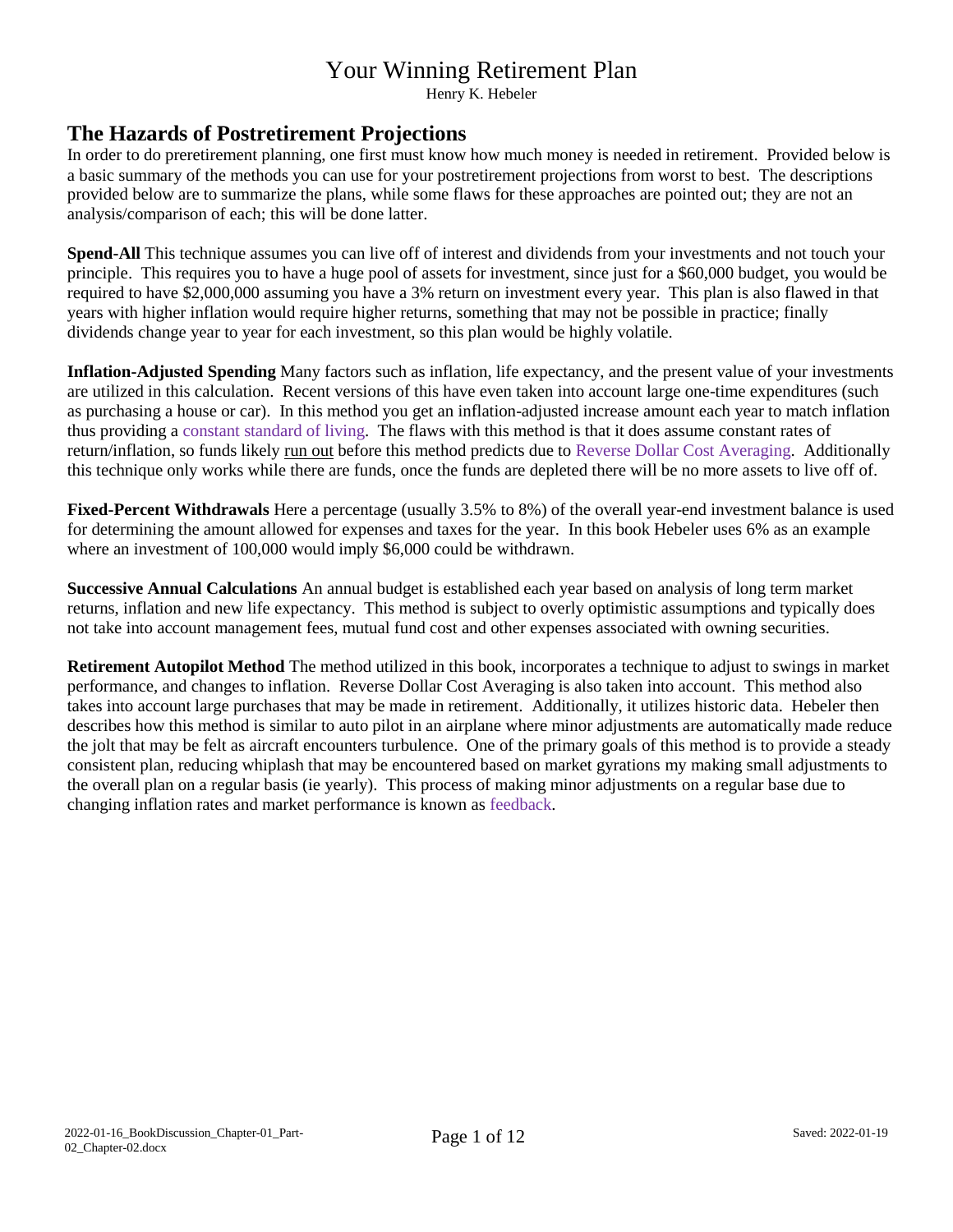Henry K. Hebeler

#### **The Hazards of Postretirement Projections**

In order to do preretirement planning, one first must know how much money is needed in retirement. Provided below is a basic summary of the methods you can use for your postretirement projections from worst to best. The descriptions provided below are to summarize the plans, while some flaws for these approaches are pointed out; they are not an analysis/comparison of each; this will be done latter.

**Spend-All** This technique assumes you can live off of interest and dividends from your investments and not touch your principle. This requires you to have a huge pool of assets for investment, since just for a \$60,000 budget, you would be required to have \$2,000,000 assuming you have a 3% return on investment every year. This plan is also flawed in that years with higher inflation would require higher returns, something that may not be possible in practice; finally dividends change year to year for each investment, so this plan would be highly volatile.

**Inflation-Adjusted Spending** Many factors such as inflation, life expectancy, and the present value of your investments are utilized in this calculation. Recent versions of this have even taken into account large one-time expenditures (such as purchasing a house or car). In this method you get an inflation-adjusted increase amount each year to match inflation thus providing a constant standard of living. The flaws with this method is that it does assume constant rates of return/inflation, so funds likely run out before this method predicts due to Reverse Dollar Cost Averaging. Additionally this technique only works while there are funds, once the funds are depleted there will be no more assets to live off of.

**Fixed-Percent Withdrawals** Here a percentage (usually 3.5% to 8%) of the overall year-end investment balance is used for determining the amount allowed for expenses and taxes for the year. In this book Hebeler uses 6% as an example where an investment of 100,000 would imply \$6,000 could be withdrawn.

**Successive Annual Calculations** An annual budget is established each year based on analysis of long term market returns, inflation and new life expectancy. This method is subject to overly optimistic assumptions and typically does not take into account management fees, mutual fund cost and other expenses associated with owning securities.

**Retirement Autopilot Method** The method utilized in this book, incorporates a technique to adjust to swings in market performance, and changes to inflation. Reverse Dollar Cost Averaging is also taken into account. This method also takes into account large purchases that may be made in retirement. Additionally, it utilizes historic data. Hebeler then describes how this method is similar to auto pilot in an airplane where minor adjustments are automatically made reduce the jolt that may be felt as aircraft encounters turbulence. One of the primary goals of this method is to provide a steady consistent plan, reducing whiplash that may be encountered based on market gyrations my making small adjustments to the overall plan on a regular basis (ie yearly). This process of making minor adjustments on a regular base due to changing inflation rates and market performance is known as feedback.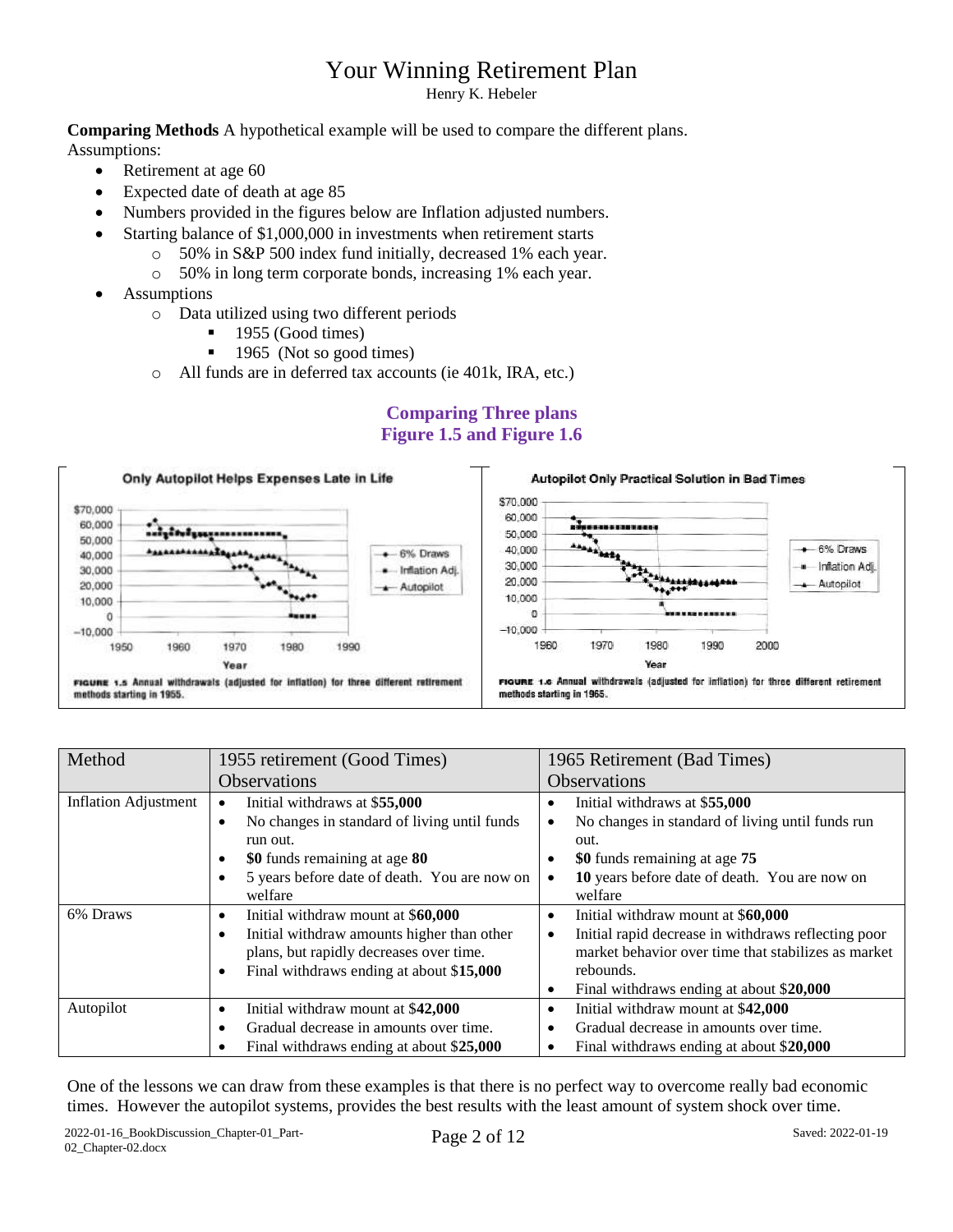Henry K. Hebeler

**Comparing Methods** A hypothetical example will be used to compare the different plans. Assumptions:

- Retirement at age 60
- Expected date of death at age 85
- Numbers provided in the figures below are Inflation adjusted numbers.
- Starting balance of \$1,000,000 in investments when retirement starts
	- o 50% in S&P 500 index fund initially, decreased 1% each year.
	- o 50% in long term corporate bonds, increasing 1% each year.
- Assumptions
	- o Data utilized using two different periods
		- $\blacksquare$  1955 (Good times)
		- $\blacksquare$  1965 (Not so good times)
	- o All funds are in deferred tax accounts (ie 401k, IRA, etc.)

#### **Comparing Three plans Figure 1.5 and Figure 1.6**



| Method                      | 1955 retirement (Good Times)                              | 1965 Retirement (Bad Times)                                      |  |  |  |  |  |
|-----------------------------|-----------------------------------------------------------|------------------------------------------------------------------|--|--|--|--|--|
|                             | <b>Observations</b>                                       | <b>Observations</b>                                              |  |  |  |  |  |
| <b>Inflation Adjustment</b> | Initial withdraws at \$55,000<br>$\bullet$                | Initial withdraws at \$55,000<br>٠                               |  |  |  |  |  |
|                             | No changes in standard of living until funds<br>$\bullet$ | No changes in standard of living until funds run<br>$\bullet$    |  |  |  |  |  |
|                             | run out.                                                  | out.                                                             |  |  |  |  |  |
|                             | \$0 funds remaining at age 80<br>$\bullet$                | \$0 funds remaining at age 75                                    |  |  |  |  |  |
|                             | 5 years before date of death. You are now on              | 10 years before date of death. You are now on<br>$\bullet$       |  |  |  |  |  |
|                             | welfare                                                   | welfare                                                          |  |  |  |  |  |
| 6% Draws                    | Initial withdraw mount at \$60,000<br>$\bullet$           | Initial withdraw mount at \$60,000<br>$\bullet$                  |  |  |  |  |  |
|                             | Initial withdraw amounts higher than other<br>$\bullet$   | Initial rapid decrease in withdraws reflecting poor<br>$\bullet$ |  |  |  |  |  |
|                             | plans, but rapidly decreases over time.                   | market behavior over time that stabilizes as market              |  |  |  |  |  |
|                             | Final withdraws ending at about \$15,000<br>$\bullet$     | rebounds.                                                        |  |  |  |  |  |
|                             |                                                           | Final withdraws ending at about \$20,000<br>$\bullet$            |  |  |  |  |  |
| Autopilot                   | Initial withdraw mount at \$42,000<br>$\bullet$           | Initial withdraw mount at \$42,000<br>٠                          |  |  |  |  |  |
|                             | Gradual decrease in amounts over time.                    | Gradual decrease in amounts over time.<br>٠                      |  |  |  |  |  |
|                             | Final withdraws ending at about \$25,000                  | Final withdraws ending at about \$20,000<br>٠                    |  |  |  |  |  |

One of the lessons we can draw from these examples is that there is no perfect way to overcome really bad economic times. However the autopilot systems, provides the best results with the least amount of system shock over time.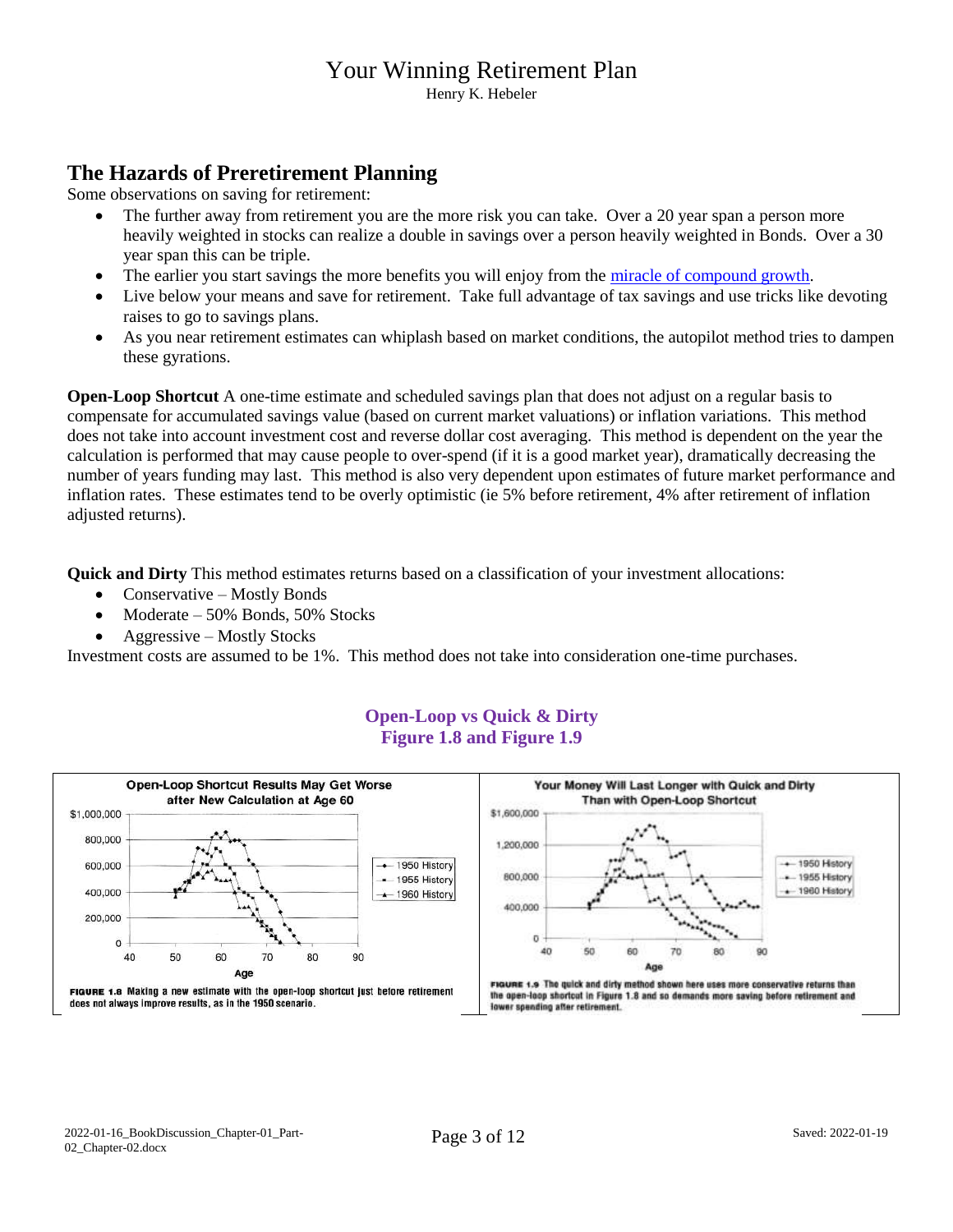Henry K. Hebeler

### **The Hazards of Preretirement Planning**

Some observations on saving for retirement:

- The further away from retirement you are the more risk you can take. Over a 20 year span a person more heavily weighted in stocks can realize a double in savings over a person heavily weighted in Bonds. Over a 30 year span this can be triple.
- The earlier you start savings the more benefits you will enjoy from the [miracle of compound growth.](https://www.fool.co.uk/investing-basics/the-miracle-of-compound-returns/)
- Live below your means and save for retirement. Take full advantage of tax savings and use tricks like devoting raises to go to savings plans.
- As you near retirement estimates can whiplash based on market conditions, the autopilot method tries to dampen these gyrations.

**Open-Loop Shortcut** A one-time estimate and scheduled savings plan that does not adjust on a regular basis to compensate for accumulated savings value (based on current market valuations) or inflation variations. This method does not take into account investment cost and reverse dollar cost averaging. This method is dependent on the year the calculation is performed that may cause people to over-spend (if it is a good market year), dramatically decreasing the number of years funding may last. This method is also very dependent upon estimates of future market performance and inflation rates. These estimates tend to be overly optimistic (ie 5% before retirement, 4% after retirement of inflation adjusted returns).

**Quick and Dirty** This method estimates returns based on a classification of your investment allocations:

- Conservative Mostly Bonds
- Moderate  $50\%$  Bonds,  $50\%$  Stocks
- Aggressive Mostly Stocks

Investment costs are assumed to be 1%. This method does not take into consideration one-time purchases.



#### **Open-Loop vs Quick & Dirty Figure 1.8 and Figure 1.9**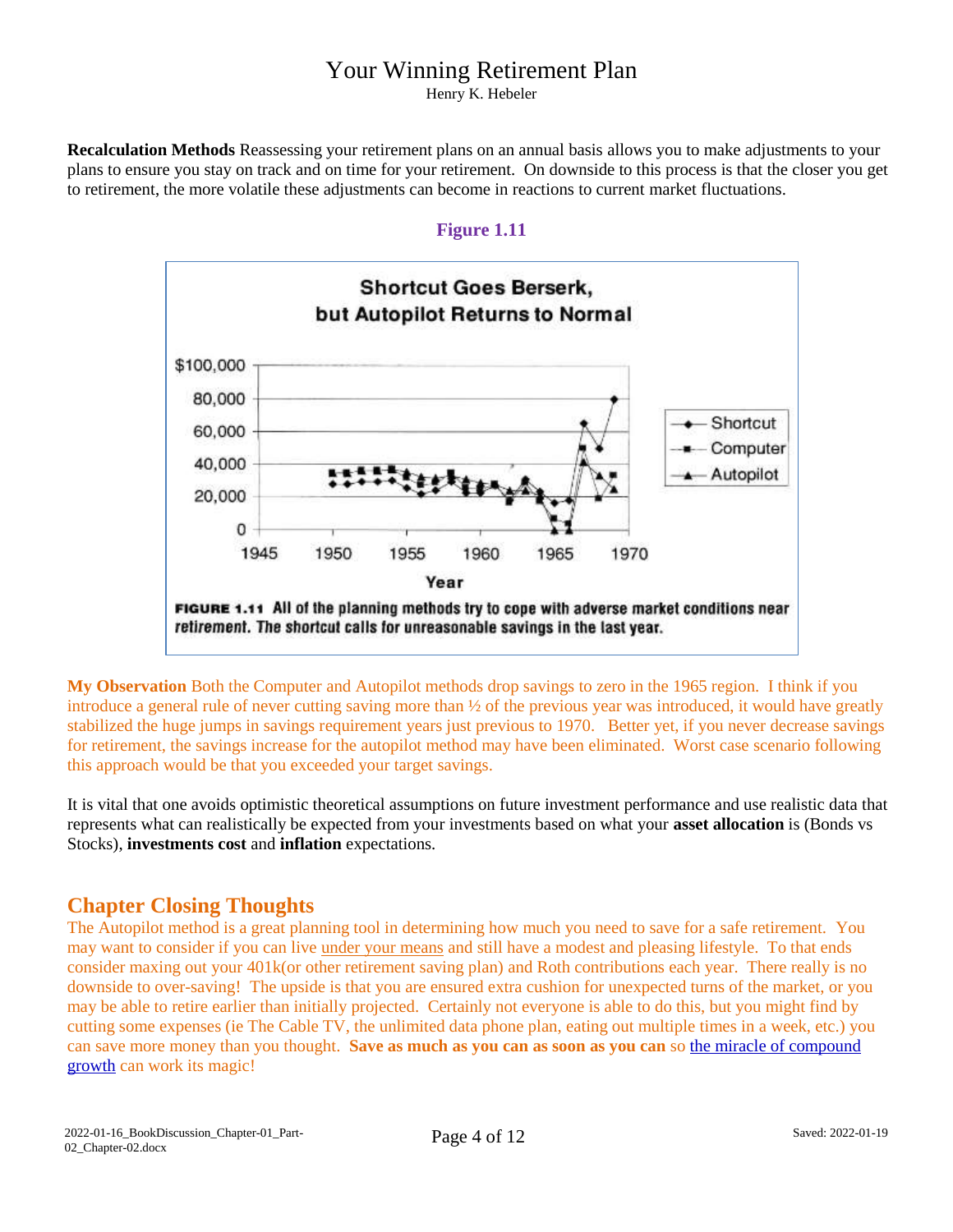Henry K. Hebeler

**Recalculation Methods** Reassessing your retirement plans on an annual basis allows you to make adjustments to your plans to ensure you stay on track and on time for your retirement. On downside to this process is that the closer you get to retirement, the more volatile these adjustments can become in reactions to current market fluctuations.

#### **Figure 1.11**



**My Observation** Both the Computer and Autopilot methods drop savings to zero in the 1965 region. I think if you introduce a general rule of never cutting saving more than ½ of the previous year was introduced, it would have greatly stabilized the huge jumps in savings requirement years just previous to 1970. Better yet, if you never decrease savings for retirement, the savings increase for the autopilot method may have been eliminated. Worst case scenario following this approach would be that you exceeded your target savings.

It is vital that one avoids optimistic theoretical assumptions on future investment performance and use realistic data that represents what can realistically be expected from your investments based on what your **asset allocation** is (Bonds vs Stocks), **investments cost** and **inflation** expectations.

#### **Chapter Closing Thoughts**

The Autopilot method is a great planning tool in determining how much you need to save for a safe retirement. You may want to consider if you can live under your means and still have a modest and pleasing lifestyle. To that ends consider maxing out your 401k(or other retirement saving plan) and Roth contributions each year. There really is no downside to over-saving! The upside is that you are ensured extra cushion for unexpected turns of the market, or you may be able to retire earlier than initially projected. Certainly not everyone is able to do this, but you might find by cutting some expenses (ie The Cable TV, the unlimited data phone plan, eating out multiple times in a week, etc.) you can save more money than you thought. **Save as much as you can as soon as you can** so [the miracle of compound](https://www.fool.co.uk/investing-basics/the-miracle-of-compound-returns/)  [growth](https://www.fool.co.uk/investing-basics/the-miracle-of-compound-returns/) can work its magic!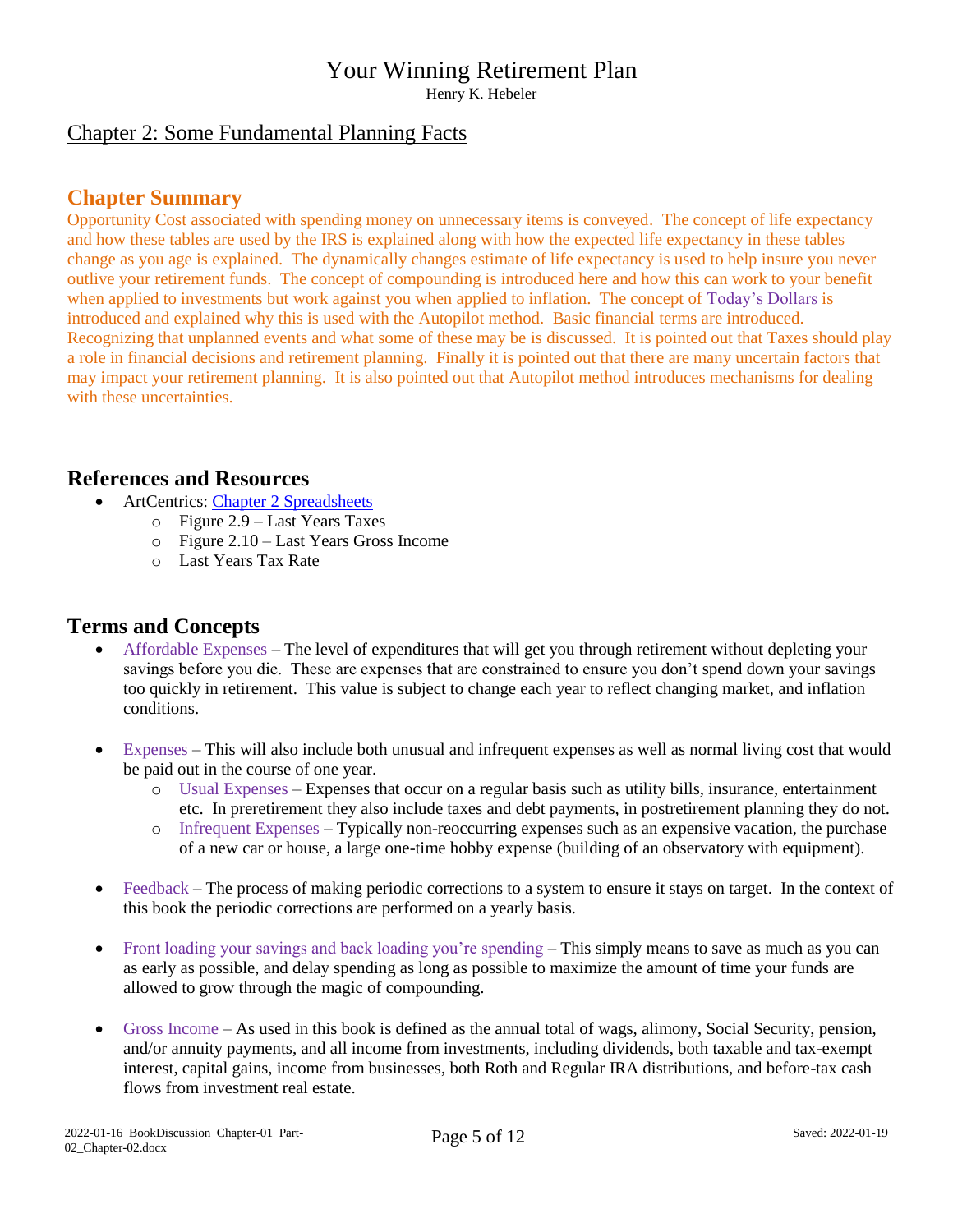Henry K. Hebeler

#### Chapter 2: Some Fundamental Planning Facts

#### **Chapter Summary**

Opportunity Cost associated with spending money on unnecessary items is conveyed. The concept of life expectancy and how these tables are used by the IRS is explained along with how the expected life expectancy in these tables change as you age is explained. The dynamically changes estimate of life expectancy is used to help insure you never outlive your retirement funds. The concept of compounding is introduced here and how this can work to your benefit when applied to investments but work against you when applied to inflation. The concept of Today's Dollars is introduced and explained why this is used with the Autopilot method. Basic financial terms are introduced. Recognizing that unplanned events and what some of these may be is discussed. It is pointed out that Taxes should play a role in financial decisions and retirement planning. Finally it is pointed out that there are many uncertain factors that may impact your retirement planning. It is also pointed out that Autopilot method introduces mechanisms for dealing with these uncertainties.

#### **References and Resources**

- ArtCentrics: [Chapter 2 Spreadsheets](http://www.artcentrics.com/13_MoneyMatters/Your_Winning_Retirement_Plan/Chapter_02_-_Some_Fundamental_Planning_Facts.xlsx)
	- o Figure 2.9 Last Years Taxes
	- o Figure 2.10 Last Years Gross Income
	- o Last Years Tax Rate

#### **Terms and Concepts**

- Affordable Expenses The level of expenditures that will get you through retirement without depleting your savings before you die. These are expenses that are constrained to ensure you don't spend down your savings too quickly in retirement. This value is subject to change each year to reflect changing market, and inflation conditions.
- Expenses This will also include both unusual and infrequent expenses as well as normal living cost that would be paid out in the course of one year.
	- o Usual Expenses Expenses that occur on a regular basis such as utility bills, insurance, entertainment etc. In preretirement they also include taxes and debt payments, in postretirement planning they do not.
	- o Infrequent Expenses Typically non-reoccurring expenses such as an expensive vacation, the purchase of a new car or house, a large one-time hobby expense (building of an observatory with equipment).
- Feedback The process of making periodic corrections to a system to ensure it stays on target. In the context of this book the periodic corrections are performed on a yearly basis.
- Front loading your savings and back loading you're spending This simply means to save as much as you can as early as possible, and delay spending as long as possible to maximize the amount of time your funds are allowed to grow through the magic of compounding.
- Gross Income As used in this book is defined as the annual total of wags, alimony, Social Security, pension, and/or annuity payments, and all income from investments, including dividends, both taxable and tax-exempt interest, capital gains, income from businesses, both Roth and Regular IRA distributions, and before-tax cash flows from investment real estate.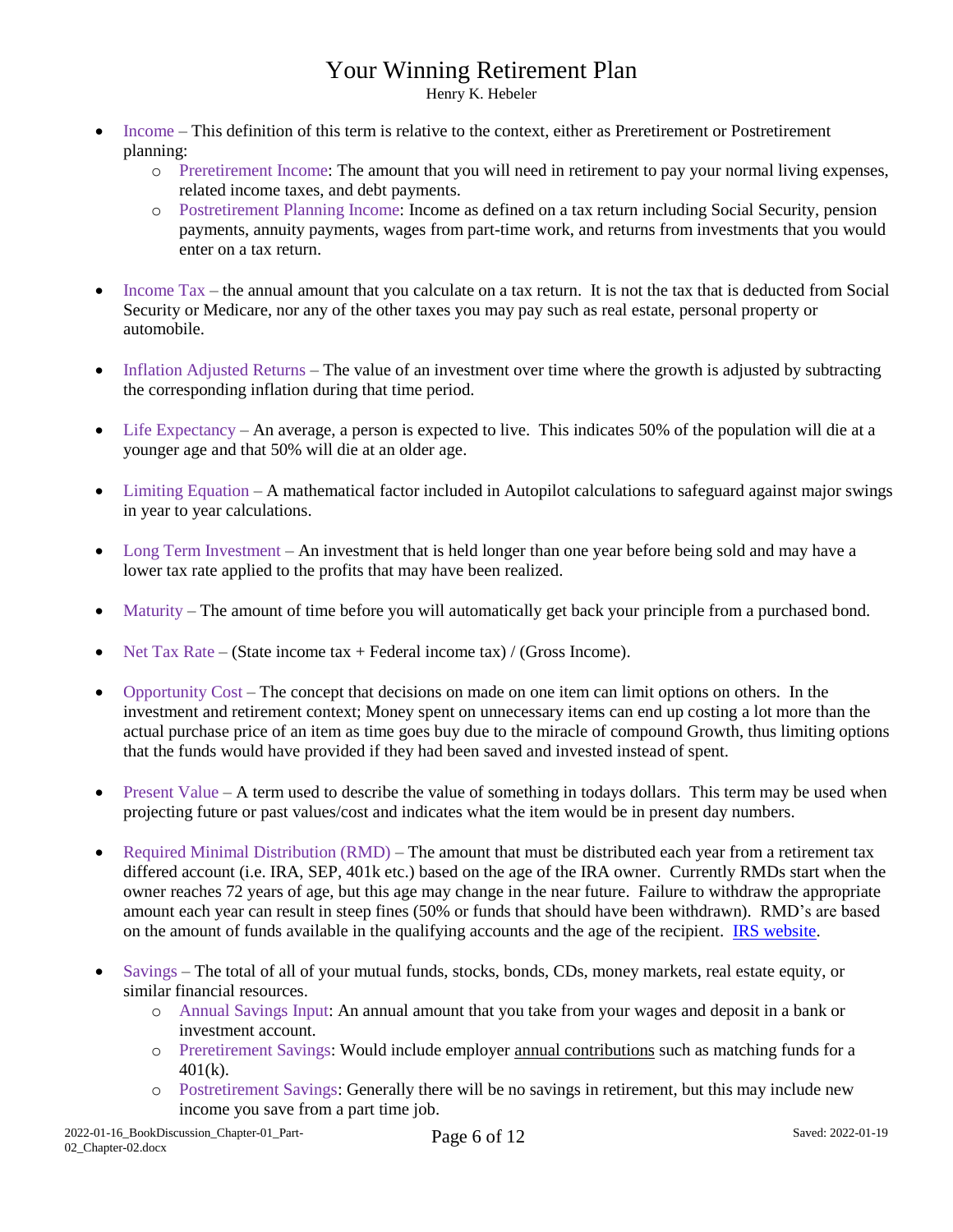Henry K. Hebeler

- Income This definition of this term is relative to the context, either as Preretirement or Postretirement planning:
	- o Preretirement Income: The amount that you will need in retirement to pay your normal living expenses, related income taxes, and debt payments.
	- o Postretirement Planning Income: Income as defined on a tax return including Social Security, pension payments, annuity payments, wages from part-time work, and returns from investments that you would enter on a tax return.
- Income Tax the annual amount that you calculate on a tax return. It is not the tax that is deducted from Social Security or Medicare, nor any of the other taxes you may pay such as real estate, personal property or automobile.
- Inflation Adjusted Returns The value of an investment over time where the growth is adjusted by subtracting the corresponding inflation during that time period.
- $\bullet$  Life Expectancy An average, a person is expected to live. This indicates 50% of the population will die at a younger age and that 50% will die at an older age.
- Limiting Equation A mathematical factor included in Autopilot calculations to safeguard against major swings in year to year calculations.
- Long Term Investment An investment that is held longer than one year before being sold and may have a lower tax rate applied to the profits that may have been realized.
- Maturity The amount of time before you will automatically get back your principle from a purchased bond.
- Net Tax Rate (State income tax + Federal income tax) / (Gross Income).
- Opportunity Cost The concept that decisions on made on one item can limit options on others. In the investment and retirement context; Money spent on unnecessary items can end up costing a lot more than the actual purchase price of an item as time goes buy due to the miracle of compound Growth, thus limiting options that the funds would have provided if they had been saved and invested instead of spent.
- Present Value A term used to describe the value of something in todays dollars. This term may be used when projecting future or past values/cost and indicates what the item would be in present day numbers.
- Required Minimal Distribution (RMD) The amount that must be distributed each year from a retirement tax differed account (i.e. IRA, SEP, 401k etc.) based on the age of the IRA owner. Currently RMDs start when the owner reaches 72 years of age, but this age may change in the near future. Failure to withdraw the appropriate amount each year can result in steep fines (50% or funds that should have been withdrawn). RMD's are based on the amount of funds available in the qualifying accounts and the age of the recipient. IRS [website.](https://www.irs.gov/retirement-plans/plan-participant-employee/retirement-topics-required-minimum-distributions-rmds)
- Savings The total of all of your mutual funds, stocks, bonds, CDs, money markets, real estate equity, or similar financial resources.
	- o Annual Savings Input: An annual amount that you take from your wages and deposit in a bank or investment account.
	- o Preretirement Savings: Would include employer annual contributions such as matching funds for a 401(k).
	- o Postretirement Savings: Generally there will be no savings in retirement, but this may include new income you save from a part time job.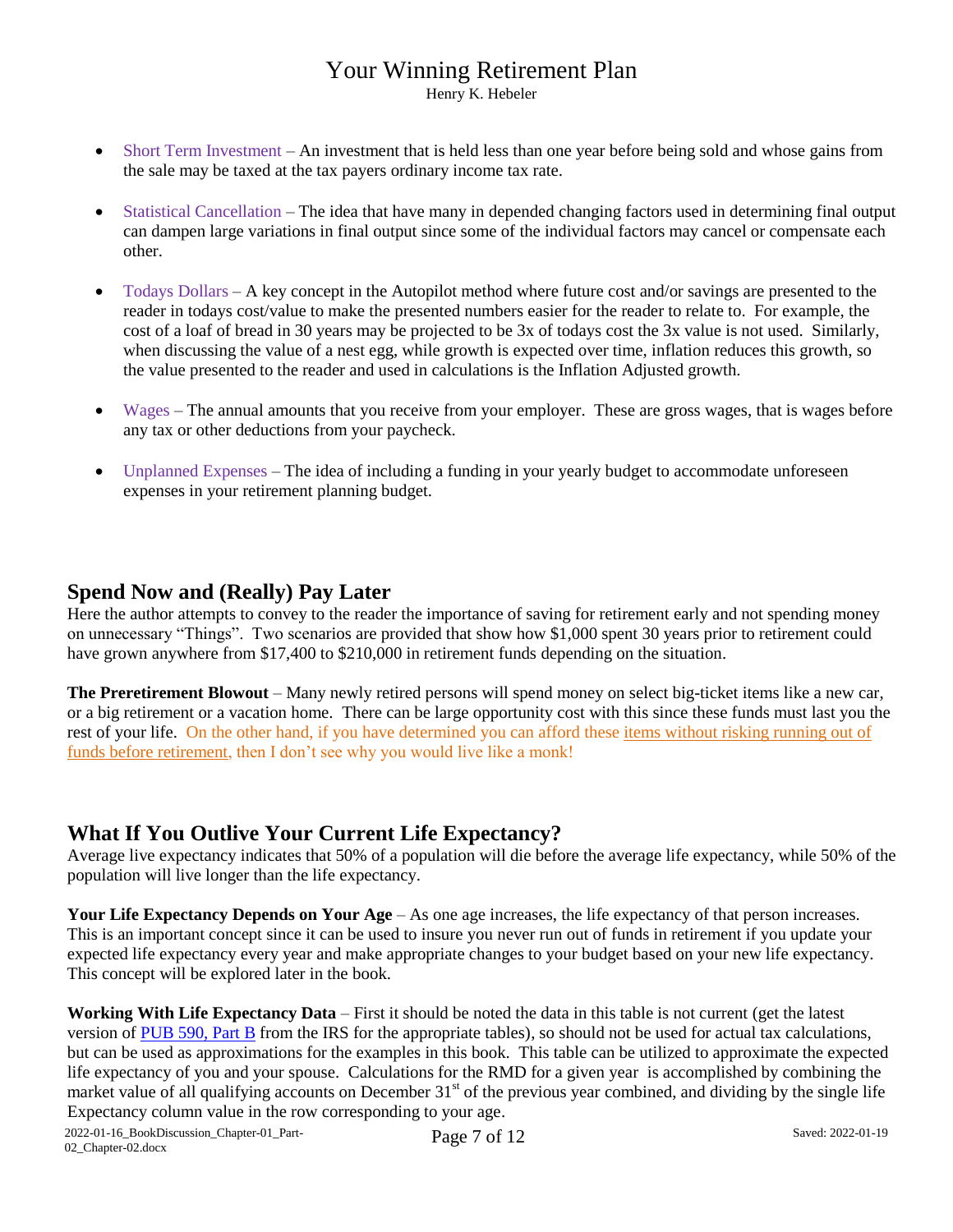Henry K. Hebeler

- Short Term Investment An investment that is held less than one year before being sold and whose gains from the sale may be taxed at the tax payers ordinary income tax rate.
- Statistical Cancellation The idea that have many in depended changing factors used in determining final output can dampen large variations in final output since some of the individual factors may cancel or compensate each other.
- $\bullet$  Todays Dollars A key concept in the Autopilot method where future cost and/or savings are presented to the reader in todays cost/value to make the presented numbers easier for the reader to relate to. For example, the cost of a loaf of bread in 30 years may be projected to be 3x of todays cost the 3x value is not used. Similarly, when discussing the value of a nest egg, while growth is expected over time, inflation reduces this growth, so the value presented to the reader and used in calculations is the Inflation Adjusted growth.
- Wages The annual amounts that you receive from your employer. These are gross wages, that is wages before any tax or other deductions from your paycheck.
- Unplanned Expenses The idea of including a funding in your yearly budget to accommodate unforeseen expenses in your retirement planning budget.

#### **Spend Now and (Really) Pay Later**

Here the author attempts to convey to the reader the importance of saving for retirement early and not spending money on unnecessary "Things". Two scenarios are provided that show how \$1,000 spent 30 years prior to retirement could have grown anywhere from \$17,400 to \$210,000 in retirement funds depending on the situation.

**The Preretirement Blowout** – Many newly retired persons will spend money on select big-ticket items like a new car, or a big retirement or a vacation home. There can be large opportunity cost with this since these funds must last you the rest of your life. On the other hand, if you have determined you can afford these items without risking running out of funds before retirement, then I don't see why you would live like a monk!

#### **What If You Outlive Your Current Life Expectancy?**

Average live expectancy indicates that 50% of a population will die before the average life expectancy, while 50% of the population will live longer than the life expectancy.

**Your Life Expectancy Depends on Your Age** – As one age increases, the life expectancy of that person increases. This is an important concept since it can be used to insure you never run out of funds in retirement if you update your expected life expectancy every year and make appropriate changes to your budget based on your new life expectancy. This concept will be explored later in the book.

**Working With Life Expectancy Data** – First it should be noted the data in this table is not current (get the latest version of [PUB 590, Part B](https://www.irs.gov/forms-pubs/about-publication-590-b) from the IRS for the appropriate tables), so should not be used for actual tax calculations, but can be used as approximations for the examples in this book. This table can be utilized to approximate the expected life expectancy of you and your spouse. Calculations for the RMD for a given year is accomplished by combining the market value of all qualifying accounts on December 31<sup>st</sup> of the previous year combined, and dividing by the single life Expectancy column value in the row corresponding to your age.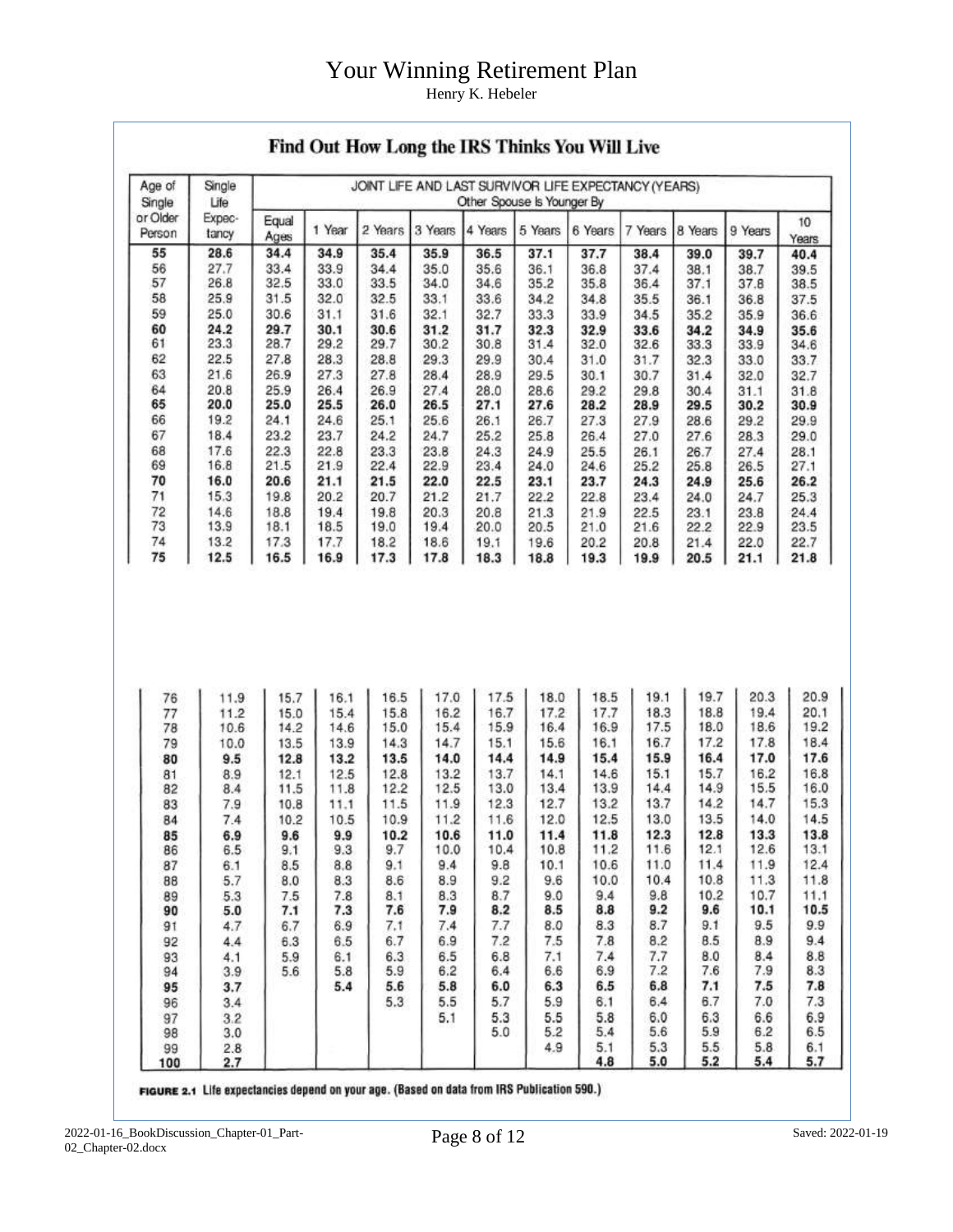Henry K. Hebeler

| Age of<br>Single   | Single<br>Life  | JOINT LIFE AND LAST SURVIVOR LIFE EXPECTANCY (YEARS)<br>Other Spouse Is Younger By |        |         |         |         |              |              |              |              |              |                                                                                                                            |  |
|--------------------|-----------------|------------------------------------------------------------------------------------|--------|---------|---------|---------|--------------|--------------|--------------|--------------|--------------|----------------------------------------------------------------------------------------------------------------------------|--|
| or Older<br>Person | Expec-<br>tancy | Equal<br>Ages                                                                      | 1 Year | 2 Years | 3 Years | 4 Years | 5 Years      | 6 Years      | 7 Years      | 8 Years      | 9 Years      | 10<br>Years                                                                                                                |  |
| 55                 | 28.6            | 34.4                                                                               | 34.9   | 35.4    | 35.9    | 36.5    | 37.1         | 37.7         | 38.4         | 39.0         | 39.7         | 40.4                                                                                                                       |  |
| 56                 | 27.7            | 33.4                                                                               | 33.9   | 34.4    | 35.0    | 35.6    | 36.1         | 36.8         | 37.4         | 38.1         | 38.7         | 39.5                                                                                                                       |  |
| 57                 | 26.8            | 32.5                                                                               | 33.0   | 33.5    | 34.0    | 34.6    | 35.2         | 35.8         | 36.4         | 37.1         | 37.8         | 38.5                                                                                                                       |  |
| 58                 | 25.9            | 31.5                                                                               | 32.0   | 32.5    | 33.1    | 33.6    | 34.2         | 34.8         | 35.5         | 36.1         | 36.8         | 37.5                                                                                                                       |  |
| 59                 | 25.0            | 30.6                                                                               | 31.1   | 31.6    | 32.1    | 32.7    | 33.3         | 33.9         | 34.5         | 35.2         | 35.9         | 36.6                                                                                                                       |  |
| 60                 | 24.2            | 29.7                                                                               | 30.1   | 30.6    | 31.2    | 31.7    | 32.3         | 32.9         | 33.6         | 34.2         | 34.9         | 35.6                                                                                                                       |  |
| 61                 | 23.3            | 28.7                                                                               | 29.2   | 29.7    | 30.2    | 30.8    | 31.4         | 32.0         | 32.6         | 33.3         | 33.9         | 34.6                                                                                                                       |  |
| 62                 | 22.5            | 27.8                                                                               | 28.3   | 28.8    | 29.3    | 29.9    | 30.4         | 31.0         | 31.7         | 32.3         | 33.0         | 33.7                                                                                                                       |  |
| 63                 | 21.6            | 26.9                                                                               | 27.3   | 27.8    | 28.4    | 28.9    | 29.5         | 30.1         | 30.7         | 31.4         | 32.0         | 32.7                                                                                                                       |  |
| 64                 | 20.8            | 25.9                                                                               | 26.4   | 26.9    | 27.4    | 28.0    | 28.6         | 29.2         | 29.8         | 30.4         | 31.1         | 31.8                                                                                                                       |  |
| 65                 | 20.0            | 25.0                                                                               | 25.5   | 26.0    | 26.5    | 27.1    | 27.6         | 28.2         | 28.9         | 29.5         | 30.2         | 30.9                                                                                                                       |  |
| 66                 | 19.2            | 24.1                                                                               | 24.6   | 25.1    | 25.6    | 26.1    | 26.7         | 27.3         | 27.9         | 28.6         | 29.2         | 29.9                                                                                                                       |  |
| 67                 | 18.4            | 23.2                                                                               | 23.7   | 24.2    | 24.7    | 25.2    | 25.8         | 26.4         | 27.0         | 27.6         | 28.3         | 29.0                                                                                                                       |  |
| 68                 | 17.6            | 22.3                                                                               | 22.8   | 23.3    | 23.8    | 24.3    | 24.9         | 25.5         | 26.1         | 26.7         | 27.4         | 28.1                                                                                                                       |  |
| 69                 | 16.8            | 21.5                                                                               | 21.9   | 22.4    | 22.9    | 23.4    | 24.0         | 24.6         | 25.2         | 25.8         | 26.5         | 27.1                                                                                                                       |  |
| 70                 | 16.0            | 20.6                                                                               | 21.1   | 21.5    | 22.0    | 22.5    | 23.1         | 23.7         | 24.3         | 24.9         | 25.6         | 26.2                                                                                                                       |  |
| 71                 | 15.3            | 19.8                                                                               | 20.2   | 20.7    | 21.2    | 21.7    | 22.2         | 22.8         | 23.4         | 24.0         | 24.7         | 25.3                                                                                                                       |  |
| 72                 | 14.6            | 18.8                                                                               | 19.4   | 19.8    | 20.3    | 20.8    | 21.3         |              |              |              |              | 24.4                                                                                                                       |  |
| 73                 | 13.9            | 18.1                                                                               | 18.5   | 19.0    | 19.4    | 20.0    | 20.5         | 21.9<br>21.0 | 22.5<br>21.6 | 23.1<br>22.2 | 23.8<br>22.9 | 23.5                                                                                                                       |  |
| 74                 | 13.2            | 17.3                                                                               | 17.7   | 18.2    | 18.6    | 19.1    |              | 20.2         | 20.8         | 21.4         | 22.0         | 22.7                                                                                                                       |  |
| 75                 | 12.5            | 16.5                                                                               | 16.9   | 17.3    | 17.8    | 18.3    | 19.6<br>18.8 | 19.3         | 19.9         | 20.5         | 21.1         | 21.8                                                                                                                       |  |
|                    |                 |                                                                                    |        |         |         |         |              |              |              |              |              |                                                                                                                            |  |
|                    |                 |                                                                                    |        |         |         |         |              |              |              |              |              |                                                                                                                            |  |
|                    |                 |                                                                                    |        |         |         |         |              |              |              |              |              |                                                                                                                            |  |
| 76                 | 11.9            | 15.7                                                                               | 16.1   | 16.5    | 17.0    | 17.5    | 18.0         | 18.5         | 19.1         | 19.7         | 20.3         | 20.9                                                                                                                       |  |
| 77                 | 11.2            | 15.0                                                                               | 15.4   | 15.8    | 16.2    | 16.7    | 17.2         | 17.7         | 18.3         | 18.8         | 19.4         |                                                                                                                            |  |
| 78                 | 10.6            | 14.2                                                                               | 14.6   | 15.0    | 15.4    | 15.9    | 16.4         | 16.9         | 17.5         | 18.0         | 18.6         |                                                                                                                            |  |
| 79                 | 10.0            | 13.5                                                                               | 13.9   | 14.3    | 14.7    | 15.1    | 15.6         | 16.1         | 16.7         | 17.2         | 17.8         |                                                                                                                            |  |
| 80                 | 9.5             | 12.8                                                                               | 13.2   | 13.5    | 14.0    | 14.4    | 14.9         | 15.4         | 15.9         | 16.4         | 17.0         |                                                                                                                            |  |
| 81                 | 8.9             | 12.1                                                                               | 12.5   | 12.8    | 13.2    | 13.7    | 14.1         | 14.6         | 15.1         | 15.7         | 16.2         |                                                                                                                            |  |
| 82                 | 8.4             | 11.5                                                                               | 11.8   | 12.2    | 12.5    | 13.0    | 13.4         | 13.9         | 14.4         | 14.9         | 15.5         |                                                                                                                            |  |
| 83                 | 7.9             | 10.8                                                                               | 11.1   | 11.5    | 11.9    | 12.3    | 12.7         | 13.2         | 13.7         | 14.2         | 14.7         |                                                                                                                            |  |
| 84                 | 7.4             | 10.2                                                                               | 10.5   | 10.9    | 11.2    | 11.6    | 12.0         | 12.5         | 13.0         | 13.5         | 14.0         |                                                                                                                            |  |
| 85                 | 6.9             | 9.6                                                                                | 9.9    | 10.2    | 10.6    | 11.0    | 11.4         | 11.8         | 12.3         | 12.8         | 13.3         |                                                                                                                            |  |
| 86                 | 6.5             | 9.1                                                                                | 9.3    | 9.7     | 10.0    | 10.4    | 10.8         | 11.2         | 11.6         | 12.1         | 12.6         |                                                                                                                            |  |
| 87                 | 6.1             | 8.5                                                                                | 8.8    | 9.1     | 9.4     | 9.8     | 10.1         | 10.6         | 11.0         | 11.4         | 11.9         |                                                                                                                            |  |
| 88                 | 5.7             | 8.0                                                                                | 8.3    | 8.6     | 8.9     | 9.2     | 9.6          | 10.0         | 10.4         | 10.8         | 11.3         |                                                                                                                            |  |
| 89                 | 5.3             | 7.5                                                                                | 7.8    | 8.1     | 8.3     | 8.7     | 9.0          | 9.4          | 9.8          | 10.2         | 10.7         |                                                                                                                            |  |
| 90                 | 5.0             | 7.1                                                                                | 7.3    | 7.6     | 7.9     | 8.2     | 8.5          | 8.8          | 9.2          | 9.6          | 10.1         |                                                                                                                            |  |
| 91                 | 4.7             | 6.7                                                                                | 6.9    | 7.1     | 7.4     | 7.7     | 8.0          | 8.3          | 8.7          | 9.1          | 9.5          |                                                                                                                            |  |
| 92                 | 4.4             | 6.3                                                                                | 6.5    | 6.7     | 6.9     | 7.2     | 7.5          | 7.8          | 8.2          | 8.5          | 8.9          | 20.1<br>19.2<br>18.4<br>17.6<br>16.8<br>16.0<br>15.3<br>14.5<br>13.8<br>13.1<br>12.4<br>11.8<br>11.1<br>10.5<br>9.9<br>9.4 |  |
| 93                 | 4.1             | 5.9                                                                                | 6.1    | 6.3     | 6.5     | 6.8     | 7.1          | 7.4          | 7.7          | 8.0          | 8.4          | 8.8                                                                                                                        |  |
| 94                 | 3.9             | 5.6                                                                                | 5.8    | 5.9     | 6.2     | 6.4     | 6.6          | 6.9          | 7.2          | 7.6          | 7.9          | 8.3                                                                                                                        |  |
| 95                 | 3.7             |                                                                                    | 5.4    | 5.6     | 5.8     | 6.0     | 6.3          | 6.5          | 6.8          | 7.1          | 7.5          |                                                                                                                            |  |
| 96                 | 3.4             |                                                                                    |        | 5.3     | 5.5     | 5.7     | 5.9          | 6.1          | 6.4          | 6.7          | 7.0          | 7.8<br>7.3                                                                                                                 |  |
| 97                 | 3.2             |                                                                                    |        |         | 5.1     | 5.3     | 5.5          | 5.8          | 6.0          | 6.3          | 6.6          | 6.9                                                                                                                        |  |
| 98                 | 3.0             |                                                                                    |        |         |         | 5.0     | 5.2          | 5.4          | 5.6          | 5.9          | 6.2          |                                                                                                                            |  |
| 99<br>100          | 2.8<br>2.7      |                                                                                    |        |         |         |         | 4.9          | 5.1<br>4.8   | 5.3<br>5.0   | 5.5<br>5.2   | 5.8<br>5.4   | 6.5<br>6.1<br>5.7                                                                                                          |  |

#### Find Out How Long the IRS Thinks You Will Live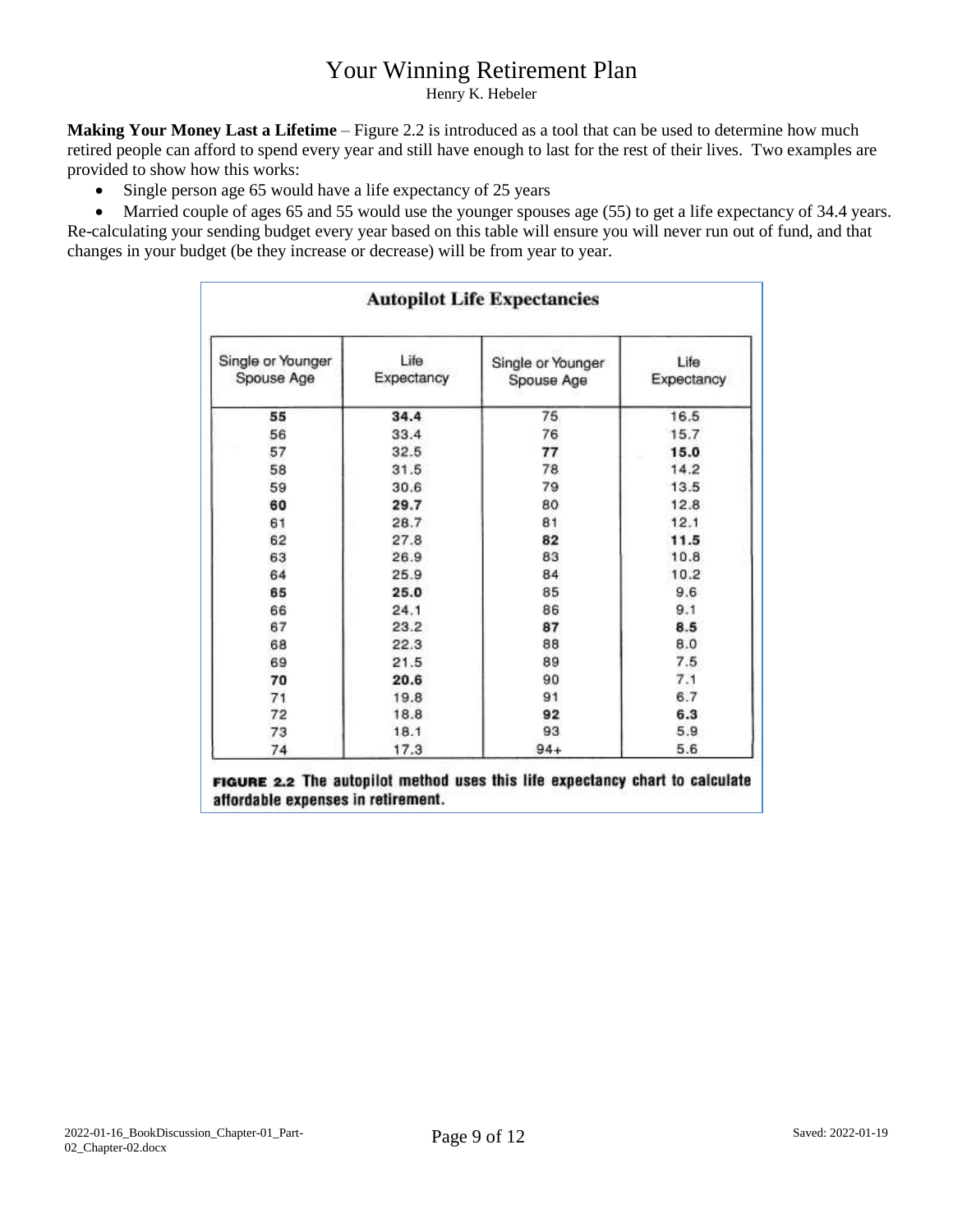Henry K. Hebeler

**Making Your Money Last a Lifetime** – Figure 2.2 is introduced as a tool that can be used to determine how much retired people can afford to spend every year and still have enough to last for the rest of their lives. Two examples are provided to show how this works:

• Single person age 65 would have a life expectancy of 25 years

• Married couple of ages 65 and 55 would use the younger spouses age (55) to get a life expectancy of 34.4 years. Re-calculating your sending budget every year based on this table will ensure you will never run out of fund, and that changes in your budget (be they increase or decrease) will be from year to year.

| <b>Autopilot Life Expectancies</b> |                    |                                 |                    |  |  |  |  |  |  |  |
|------------------------------------|--------------------|---------------------------------|--------------------|--|--|--|--|--|--|--|
| Single or Younger<br>Spouse Age    | Life<br>Expectancy | Single or Younger<br>Spouse Age | Life<br>Expectancy |  |  |  |  |  |  |  |
| 55                                 | 34.4               | 75                              | 16.5               |  |  |  |  |  |  |  |
| 56                                 | 33.4               | 76                              | 15.7               |  |  |  |  |  |  |  |
| 57                                 | 32.5               | 77                              | 15.0               |  |  |  |  |  |  |  |
| 58                                 | 31.5               | 78                              | 14.2               |  |  |  |  |  |  |  |
| 59                                 | 30.6               | 79                              | 13.5               |  |  |  |  |  |  |  |
| 60                                 | 29.7               | 80                              | 12.8               |  |  |  |  |  |  |  |
| 61                                 | 28.7               | 81                              | 12.1               |  |  |  |  |  |  |  |
| 62                                 | 27.8               | 82                              | 11.5               |  |  |  |  |  |  |  |
| 63                                 | 26.9               | 83                              | 10.8               |  |  |  |  |  |  |  |
| 64                                 | 25.9               | 84                              | 10.2               |  |  |  |  |  |  |  |
| 65                                 | 25.0               | 85                              | 9.6                |  |  |  |  |  |  |  |
| 66                                 | 24.1               | 86                              | 9.1                |  |  |  |  |  |  |  |
| 67                                 | 23.2               | 87                              | 8.5                |  |  |  |  |  |  |  |
| 68                                 | 22.3               | 88                              | 8.0                |  |  |  |  |  |  |  |
| 69                                 | 21.5               | 89                              | 7.5                |  |  |  |  |  |  |  |
| 70                                 | 20.6               | 90                              | 7.1                |  |  |  |  |  |  |  |
| 71                                 | 19.8               | 91                              | 6.7                |  |  |  |  |  |  |  |
| 72                                 | 18.8               | 92                              | 6.3                |  |  |  |  |  |  |  |
| 73                                 | 18.1               | 93                              | 5.9                |  |  |  |  |  |  |  |
| 74                                 | 17.3               | $94 +$                          | 5.6                |  |  |  |  |  |  |  |

FIGURE 2.2 The autopilot method uses this life expectancy chart to calculate affordable expenses in retirement.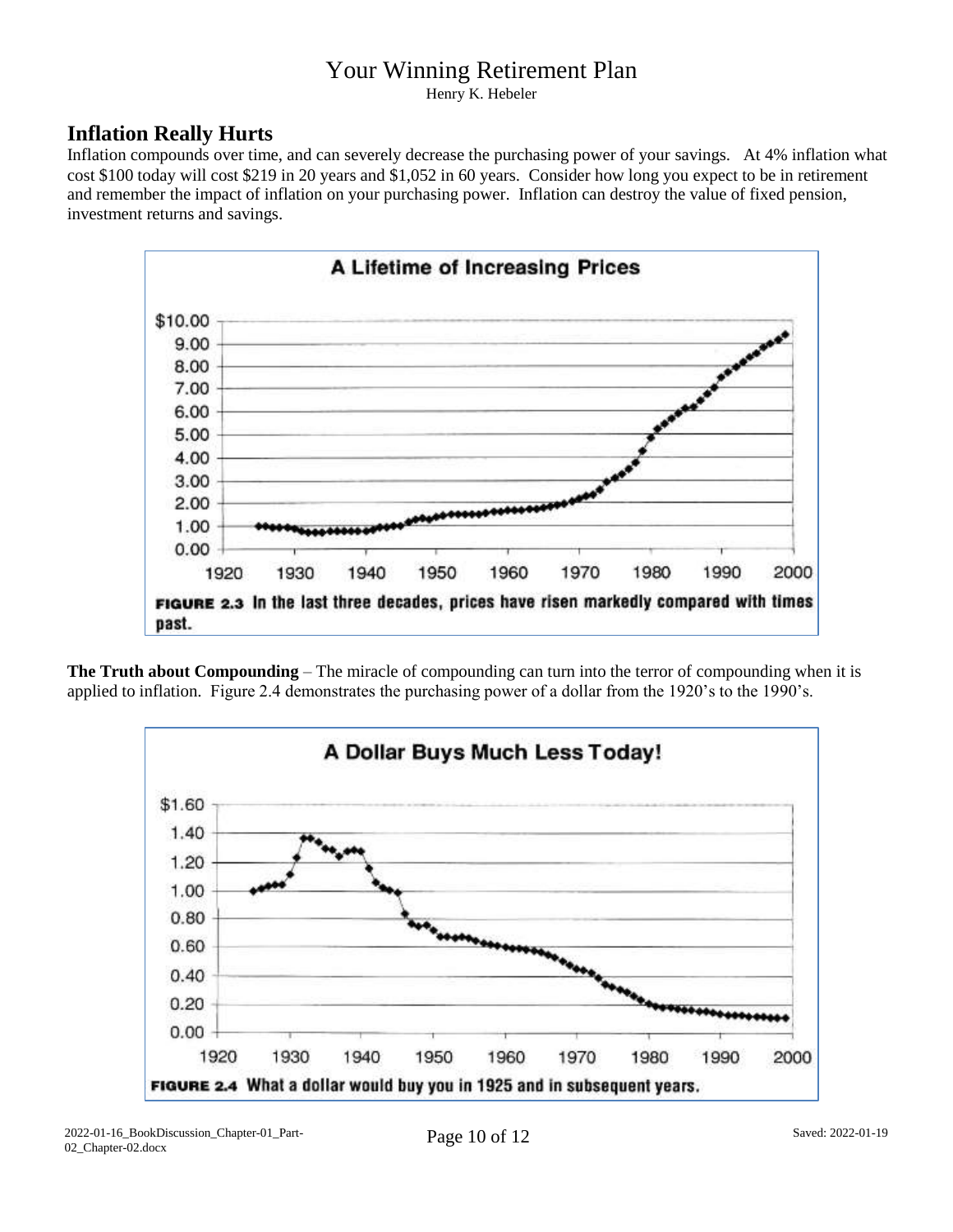Henry K. Hebeler

#### **Inflation Really Hurts**

Inflation compounds over time, and can severely decrease the purchasing power of your savings. At 4% inflation what cost \$100 today will cost \$219 in 20 years and \$1,052 in 60 years. Consider how long you expect to be in retirement and remember the impact of inflation on your purchasing power. Inflation can destroy the value of fixed pension, investment returns and savings.



**The Truth about Compounding** – The miracle of compounding can turn into the terror of compounding when it is applied to inflation. Figure 2.4 demonstrates the purchasing power of a dollar from the 1920's to the 1990's.

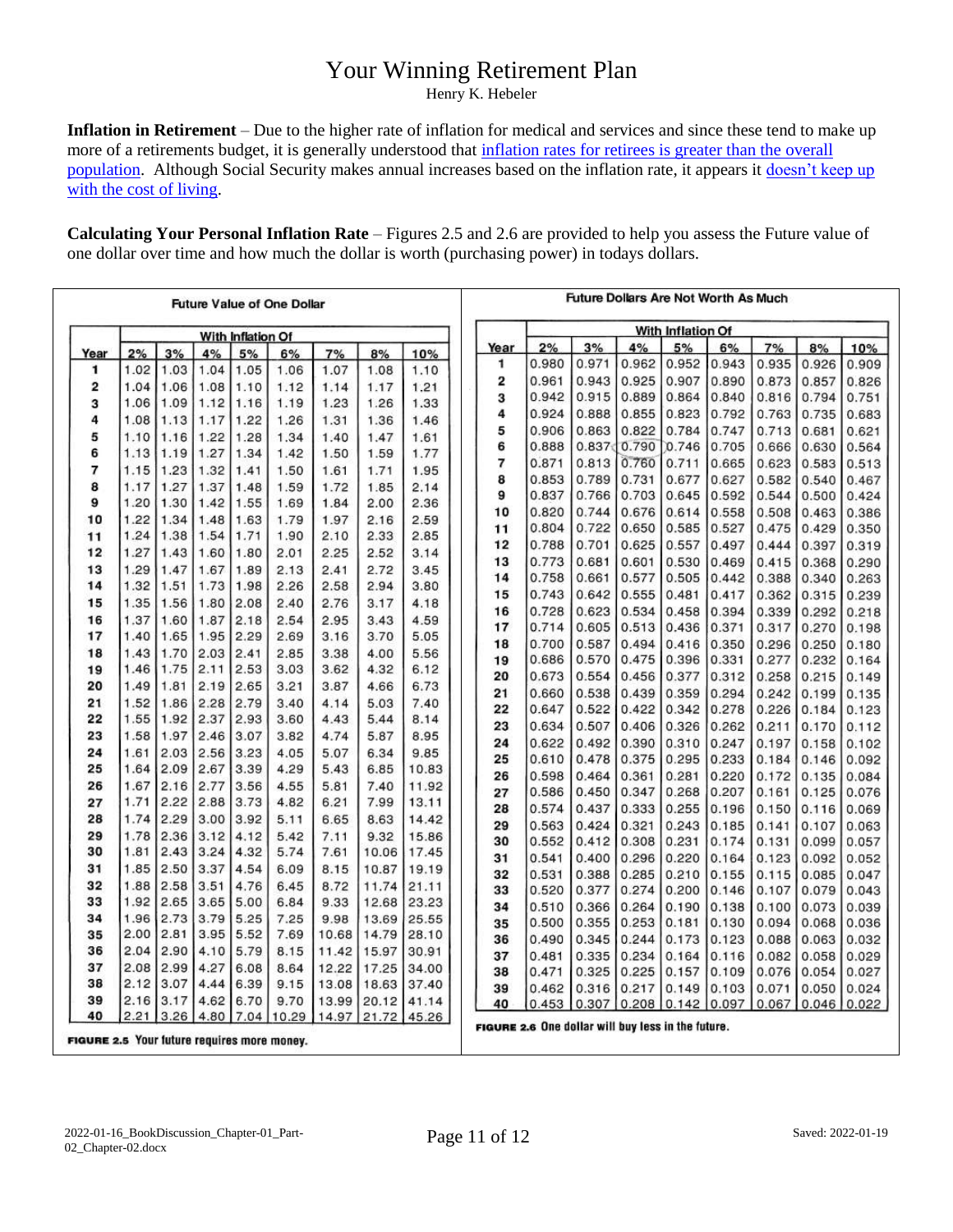Henry K. Hebeler

**Inflation in Retirement** – Due to the higher rate of inflation for medical and services and since these tend to make up more of a retirements budget, it is generally understood that inflation rates for retirees is greater than the overall [population.](https://www.bls.gov/opub/ted/2012/ted_20120302.htm) Although Social Security makes annual increases based on the inflation rate, it appears it doesn't keep up [with the cost of living.](https://www.pbs.org/newshour/economy/making-sense/why-social-securitys-annual-increase-doesnt-actually-keep-up-with-cost-of-living)

**Calculating Your Personal Inflation Rate** – Figures 2.5 and 2.6 are provided to help you assess the Future value of one dollar over time and how much the dollar is worth (purchasing power) in todays dollars.

| <b>Future Value of One Dollar</b> |                   |              |              |              |              |              | Future Dollars Are Not Worth As Much |              |      |                                                    |                   |       |       |       |       |               |       |  |
|-----------------------------------|-------------------|--------------|--------------|--------------|--------------|--------------|--------------------------------------|--------------|------|----------------------------------------------------|-------------------|-------|-------|-------|-------|---------------|-------|--|
|                                   | With Inflation Of |              |              |              |              |              |                                      |              |      |                                                    | With Inflation Of |       |       |       |       |               |       |  |
| Year                              | 2%                | 3%           | 4%           | 5%           | 6%           | 7%           | 8%                                   | 10%          | Year | 2%                                                 | 3%                | 4%    | 5%    | 6%    | 7%    | 8%            | 10%   |  |
| 1                                 | 1.02              | 1.03         | 1.04         | 1.05         | 1.06         | 1.07         | 1.08                                 | 1.10         | 1    | 0.980                                              | 0.971             | 0.962 | 0.952 | 0.943 | 0.935 | 0.926         | 0.909 |  |
| 2                                 | 1.04              | 1.06         | 1.08         | 1.10         | 1.12         | 1.14         | 1.17                                 | 1.21         | 2    | 0.961                                              | 0.943             | 0.925 | 0.907 | 0.890 | 0.873 | 0.857         | 0.826 |  |
| 3                                 | 1.06              | 1.09         | 1.12         | 1.16         | 1.19         | 1.23         | 1.26                                 | 1.33         | 3    | 0.942                                              | 0.915             | 0.889 | 0.864 | 0.840 | 0.816 | 0.794         | 0.751 |  |
| 4                                 | 1.08              | 1.13         | 1.17         | 1.22         | 1.26         | 1.31         | 1.36                                 | 1.46         | 4    | 0.924                                              | 0.888             | 0.855 | 0.823 | 0.792 | 0.763 | 0.735         | 0.683 |  |
| 5                                 | 1.10              | 1.16         | 1.22         | 1.28         | 1.34         | 1.40         | 1.47                                 | 1.61         | 5    | 0.906                                              | 0.863             | 0.822 | 0.784 | 0.747 | 0.713 | 0.681         | 0.621 |  |
| 6                                 | 1.13              | 1.19         | 1.27         | 1.34         | 1.42         | 1.50         | 1.59                                 | 1.77         | 6    | 0.888                                              | 0.837             | 0.790 | 0.746 | 0.705 | 0.666 | 0.630         | 0.564 |  |
| 7                                 | 1.15              | 1.23         | 1.32         |              | 1.50         |              | 1.71                                 |              | 7    | 0.871                                              | 0.813             | 0.760 | 0.711 | 0.665 | 0.623 | 0.583         | 0.513 |  |
| 8                                 | 1.17              |              |              | 1.41         |              | 1.61         |                                      | 1.95         | 8    | 0.853                                              | 0.789             | 0.731 | 0.677 | 0.627 | 0.582 | 0.540         | 0.467 |  |
| 9                                 | 1.20              | 1.27<br>1.30 | 1.37<br>1.42 | 1.48<br>1.55 | 1.59<br>1.69 | 1.72<br>1.84 | 1.85<br>2.00                         | 2.14<br>2.36 | 9    | 0.837                                              | 0.766             | 0.703 | 0.645 | 0.592 | 0.544 | 0.500         | 0.424 |  |
| 10                                | 1.22              | 1.34         | 1.48         | 1.63         | 1.79         | 1.97         | 2.16                                 | 2.59         | 10   | 0.820                                              | 0.744             | 0.676 | 0.614 | 0.558 | 0.508 | 0.463         | 0.386 |  |
|                                   | 1.24              | 1.38         | 1.54         | 1.71         | 1.90         | 2.10         | 2.33                                 | 2.85         | 11   | 0.804                                              | 0.722             | 0.650 | 0.585 | 0.527 | 0.475 | 0.429         | 0.350 |  |
| 11<br>12                          | 1.27              | 1.43         |              | 1.80         | 2.01         | 2.25         | 2.52                                 | 3.14         | 12   | 0.788                                              | 0.701             | 0.625 | 0.557 | 0.497 | 0.444 | 0.397         | 0.319 |  |
| 13                                | 1.29              |              | 1.60         |              |              | 2.41         |                                      |              | 13   | 0.773                                              | 0.681             | 0.601 | 0.530 | 0.469 | 0.415 | 0.368         | 0.290 |  |
| 14                                | 1.32              | 1.47<br>1.51 | 1.67<br>1.73 | 1.89<br>1.98 | 2.13<br>2.26 | 2.58         | 2.72<br>2.94                         | 3.45<br>3.80 | 14   | 0.758                                              | 0.661             | 0.577 | 0.505 | 0.442 | 0.388 | 0.340         | 0.263 |  |
| 15                                |                   |              |              |              |              |              |                                      |              | 15   | 0.743                                              | 0.642             | 0.555 | 0.481 | 0.417 | 0.362 | 0.315         | 0.239 |  |
|                                   | 1.35              | 1.56         | 1.80         | 2.08         | 2.40         | 2.76         | 3.17                                 | 4.18         | 16   | 0.728                                              | 0.623             | 0.534 | 0.458 | 0.394 | 0.339 | 0.292         | 0.218 |  |
| 16<br>17                          | 1.37<br>1.40      | 1.60<br>1.65 | 1.87         | 2.18<br>2.29 | 2.54<br>2.69 | 2.95         | 3.43                                 | 4.59         | 17   | 0.714                                              | 0.605             | 0.513 | 0.436 | 0.371 | 0.317 | 0.270         | 0.198 |  |
|                                   |                   |              | 1.95         |              |              | 3.16         | 3.70                                 | 5.05         | 18   | 0.700                                              | 0.587             | 0.494 | 0.416 | 0.350 | 0.296 | 0.250         | 0.180 |  |
| 18                                | 1.43<br>1.46      | 1.70<br>1.75 | 2.03         | 2.41<br>2.53 | 2.85<br>3.03 | 3.38         | 4.00                                 | 5.56         | 19   | 0.686                                              | 0.570             | 0.475 | 0.396 | 0.331 | 0.277 | 0.232         | 0.164 |  |
| 19                                |                   |              | 2.11         |              |              | 3.62         | 4.32                                 | 6.12         | 20   | 0.673                                              | 0.554             | 0.456 | 0.377 | 0.312 | 0.258 | 0.215         | 0.149 |  |
| 20                                | 1.49              | 1.81         | 2.19         | 2.65         | 3.21         | 3.87         | 4.66                                 | 6.73         | 21   | 0.660                                              | 0.538             | 0.439 | 0.359 | 0.294 | 0.242 | 0.199         | 0.135 |  |
| 21<br>22                          | 1.52<br>1.55      | 1.86<br>1.92 | 2.28<br>2.37 | 2.79<br>2.93 | 3.40<br>3.60 | 4.14<br>4.43 | 5.03<br>5.44                         | 7.40<br>8.14 | 22   | 0.647                                              | 0.522             | 0.422 | 0.342 | 0.278 | 0.226 | 0.184         | 0.123 |  |
| 23                                | 1.58              |              | 2.46         | 3.07         |              |              |                                      |              | 23   | 0.634                                              | 0.507             | 0.406 | 0.326 | 0.262 | 0.211 | 0.170         | 0.112 |  |
|                                   |                   | 1.97         |              |              | 3.82         | 4.74         | 5.87                                 | 8.95         | 24   | 0.622                                              | 0.492             | 0.390 | 0.310 | 0.247 | 0.197 | 0.158         | 0.102 |  |
| 24<br>25                          | 1.61<br>1.64      | 2.03         | 2.56         | 3.23<br>3.39 | 4.05<br>4.29 | 5.07<br>5.43 | 6.34                                 | 9.85         | 25   | 0.610                                              | 0.478             | 0.375 | 0.295 | 0.233 | 0.184 | 0.146         | 0.092 |  |
|                                   |                   | 2.09         | 2.67         |              |              |              | 6.85                                 | 10.83        | 26   | 0.598                                              | 0.464             | 0.361 | 0.281 | 0.220 | 0.172 | 0.135         | 0.084 |  |
| 26                                | 1.67<br>1.71      | 2.16         | 2.77         | 3.56         | 4.55         | 5.81         | 7.40                                 | 11.92        | 27   | 0.586                                              | 0.450             | 0.347 | 0.268 | 0.207 | 0.161 | 0.125         | 0.076 |  |
| 27                                |                   | 2.22         | 2.88         | 3.73         | 4.82         | 6.21         | 7.99                                 | 13.11        | 28   | 0.574                                              | 0.437             | 0.333 | 0.255 | 0.196 | 0.150 | 0.116         | 0.069 |  |
| 28                                | 1.74              | 2.29         | 3.00         | 3.92         | 5.11         | 6.65         | 8.63                                 | 14.42        | 29   | 0.563                                              | 0.424             | 0.321 | 0.243 | 0.185 | 0.141 | 0.107         | 0.063 |  |
| 29<br>30                          | 1.78              | 2.36         | 3.12         | 4.12         | 5.42         | 7.11         | 9.32                                 | 15.86        | 30   | 0.552                                              | 0.412             | 0.308 | 0.231 | 0.174 | 0.131 | 0.099         | 0.057 |  |
|                                   | 1.81              | 2.43         | 3.24         | 4.32         | 5.74         | 7.61         | 10.06                                | 17.45        | 31   | 0.541                                              | 0.400             | 0.296 | 0.220 | 0.164 | 0.123 | 0.092         | 0.052 |  |
| 31                                | 1.85              | 2.50         | 3.37         | 4.54         | 6.09         | 8.15         | 10.87                                | 19.19        | 32   | 0.531                                              | 0.388             | 0.285 | 0.210 | 0.155 | 0.115 | 0.085         | 0.047 |  |
| 32                                | 1.88              | 2.58         | 3.51         | 4.76         | 6.45         | 8.72         | 11.74                                | 21.11        | 33   | 0.520                                              | 0.377             | 0.274 | 0.200 | 0.146 | 0.107 | 0.079         | 0.043 |  |
| 33                                | 1.92              | 2.65         | 3.65         | 5.00         | 6.84         | 9.33         | 12.68                                | 23.23        | 34   | 0.510                                              | 0.366             | 0.264 | 0.190 | 0.138 | 0.100 | 0.073         | 0.039 |  |
| 34                                | 1.96              | 2.73         | 3.79         | 5.25         | 7.25         | 9.98         | 13.69                                | 25.55        | 35   | 0.500                                              | 0.355             | 0.253 | 0.181 | 0.130 | 0.094 | 0.068         | 0.036 |  |
| 35                                | 2.00              | 2.81         | 3.95         | 5.52         | 7.69         | 10.68        | 14.79                                | 28.10        | 36   | 0.490                                              | 0.345             | 0.244 | 0.173 | 0.123 | 0.088 | 0.063         | 0.032 |  |
| 36                                | 2.04              | 2.90         | 4.10         | 5.79         | 8.15         | 11.42        | 15.97                                | 30.91        | 37   | 0.481                                              | 0.335             | 0.234 | 0.164 | 0.116 | 0.082 | 0.058         | 0.029 |  |
| 37                                | 2.08              | 2.99         | 4.27         | 6.08         | 8.64         | 12.22        | 17.25                                | 34.00        | 38   | 0.471                                              | 0.325             | 0.225 | 0.157 | 0.109 | 0.076 | 0.054         | 0.027 |  |
| 38                                | 2.12              | 3.07         | 4.44         | 6.39         | 9.15         | 13.08        | 18.63                                | 37.40        | 39   | 0.462                                              | 0.316             | 0.217 | 0.149 | 0.103 | 0.071 | 0.050         | 0.024 |  |
| 39<br>40                          | 2.16<br>2.21      | 3.17         | 4.62         | 6.70         | 9.70         | 13.99        | 20.12                                | 41.14        | 40   | 0.453                                              | 0.307             | 0.208 | 0.142 | 0.097 | 0.067 | $0.046$ 0.022 |       |  |
|                                   |                   | 3.26         | 4.80         | 7.04         | 10.29        | 14.97        | 21.72                                | 45.26        |      | FIGURE 2.6 One dollar will buy less in the future. |                   |       |       |       |       |               |       |  |